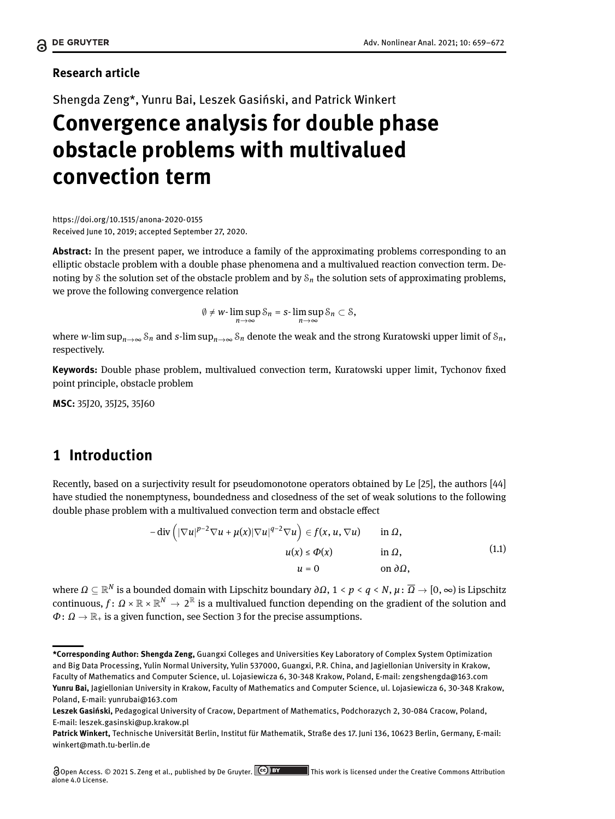### **Research article**

Shengda Zeng\*, Yunru Bai, Leszek Gasiński, and Patrick Winkert

# **Convergence analysis for double phase obstacle problems with multivalued convection term**

<https://doi.org/10.1515/anona-2020-0155> Received June 10, 2019; accepted September 27, 2020.

**Abstract:** In the present paper, we introduce a family of the approximating problems corresponding to an elliptic obstacle problem with a double phase phenomena and a multivalued reaction convection term. Denoting by S the solution set of the obstacle problem and by S*<sup>n</sup>* the solution sets of approximating problems, we prove the following convergence relation

$$
\emptyset \neq w\text{-}\limsup_{n\to\infty} \mathcal{S}_n = s\text{-}\limsup_{n\to\infty} \mathcal{S}_n \subset \mathcal{S},
$$

where *w*-lim sup<sub>*n*→∞</sub>  $S_n$  and *s*-lim sup<sub>*n*→∞</sub>  $S_n$  denote the weak and the strong Kuratowski upper limit of  $S_n$ , respectively.

Keywords: Double phase problem, multivalued convection term, Kuratowski upper limit, Tychonov fixed point principle, obstacle problem

**MSC:** 35J20, 35J25, 35J60

# **1 Introduction**

Recently, based on a surjectivity result for pseudomonotone operators obtained by Le [\[25\]](#page-12-0), the authors [\[44\]](#page-13-1) have studied the nonemptyness, boundedness and closedness of the set of weak solutions to the following double phase problem with a multivalued convection term and obstacle effect

<span id="page-0-0"></span>
$$
-\operatorname{div}\left(|\nabla u|^{p-2}\nabla u + \mu(x)|\nabla u|^{q-2}\nabla u\right) \in f(x, u, \nabla u) \quad \text{in } \Omega, u(x) \le \Phi(x) \quad \text{in } \Omega, u = 0 \quad \text{on } \partial\Omega,
$$
 (1.1)

where *Ω* ⊆ R *N* is a bounded domain with Lipschitz boundary *∂Ω*, 1 < *p* < *q* < *N*, *µ*: *Ω* → [0, ∞) is Lipschitz continuous,  $f: \Omega \times \mathbb{R} \times \mathbb{R}^N \to 2^{\mathbb{R}}$  is a multivalued function depending on the gradient of the solution and  $\Phi: \Omega \to \mathbb{R}_+$  is a given function, see Section [3](#page-4-0) for the precise assumptions.

**<sup>\*</sup>Corresponding Author: Shengda Zeng,** Guangxi Colleges and Universities Key Laboratory of Complex System Optimization and Big Data Processing, Yulin Normal University, Yulin 537000, Guangxi, P.R. China, and Jagiellonian University in Krakow, Faculty of Mathematics and Computer Science, ul. Lojasiewicza 6, 30-348 Krakow, Poland, E-mail: zengshengda@163.com **Yunru Bai,** Jagiellonian University in Krakow, Faculty of Mathematics and Computer Science, ul. Lojasiewicza 6, 30-348 Krakow, Poland, E-mail: yunrubai@163.com

**Leszek Gasiński,** Pedagogical University of Cracow, Department of Mathematics, Podchorazych 2, 30-084 Cracow, Poland, E-mail: leszek.gasinski@up.krakow.pl

**Patrick Winkert,** Technische Universität Berlin, Institut für Mathematik, Straße des 17. Juni 136, 10623 Berlin, Germany, E-mail: winkert@math.tu-berlin.de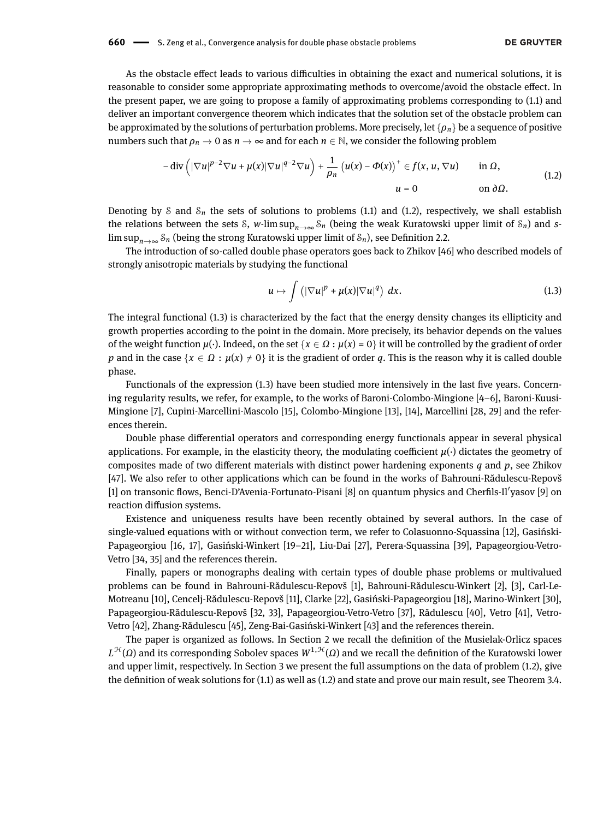As the obstacle effect leads to various difficulties in obtaining the exact and numerical solutions, it is reasonable to consider some appropriate approximating methods to overcome/avoid the obstacle effect. In the present paper, we are going to propose a family of approximating problems corresponding to [\(1.1\)](#page-0-0) and deliver an important convergence theorem which indicates that the solution set of the obstacle problem can be approximated by the solutions of perturbation problems. More precisely, let {*ρn*} be a sequence of positive numbers such that  $\rho_n \to 0$  as  $n \to \infty$  and for each  $n \in \mathbb{N}$ , we consider the following problem

$$
-\operatorname{div}\left(|\nabla u|^{p-2}\nabla u+\mu(x)|\nabla u|^{q-2}\nabla u\right)+\frac{1}{\rho_n}\left(u(x)-\Phi(x)\right)^+\in f(x,u,\nabla u)\qquad\text{in }\Omega,\qquad(1.2)
$$
\n
$$
u=0\qquad\text{on }\partial\Omega.
$$

Denoting by S and  $S_n$  the sets of solutions to problems [\(1.1\)](#page-0-0) and [\(1.2\)](#page-1-0), respectively, we shall establish the relations between the sets S, *w*-lim sup<sub>*n*→∞</sub> S<sub>*n*</sub> (being the weak Kuratowski upper limit of S<sub>*n*</sub>) and *s*lim sup<sub>*n*→∞</sub>  $S_n$  (being the strong Kuratowski upper limit of  $S_n$ ), see Definition [2.2.](#page-3-0)

The introduction of so-called double phase operators goes back to Zhikov [\[46\]](#page-13-2) who described models of strongly anisotropic materials by studying the functional

<span id="page-1-1"></span><span id="page-1-0"></span>
$$
u \mapsto \int \left( |\nabla u|^p + \mu(x) |\nabla u|^q \right) dx. \tag{1.3}
$$

The integral functional [\(1.3\)](#page-1-1) is characterized by the fact that the energy density changes its ellipticity and growth properties according to the point in the domain. More precisely, its behavior depends on the values of the weight function  $\mu(\cdot)$ . Indeed, on the set  $\{x \in \Omega : \mu(x) = 0\}$  it will be controlled by the gradient of order *p* and in the case  $\{x \in \Omega : \mu(x) \neq 0\}$  it is the gradient of order *q*. This is the reason why it is called double phase.

Functionals of the expression [\(1.3\)](#page-1-1) have been studied more intensively in the last five years. Concerning regularity results, we refer, for example, to the works of Baroni-Colombo-Mingione [\[4–](#page-11-0)[6\]](#page-12-1), Baroni-Kuusi-Mingione [\[7\]](#page-12-2), Cupini-Marcellini-Mascolo [\[15\]](#page-12-3), Colombo-Mingione [\[13\]](#page-12-4), [\[14\]](#page-12-5), Marcellini [\[28,](#page-12-6) [29\]](#page-12-7) and the references therein.

Double phase differential operators and corresponding energy functionals appear in several physical applications. For example, in the elasticity theory, the modulating coefficient  $\mu(\cdot)$  dictates the geometry of composites made of two different materials with distinct power hardening exponents  $q$  and  $p$ , see Zhikov [\[47\]](#page-13-3). We also refer to other applications which can be found in the works of Bahrouni-Rădulescu-Repovš [\[1\]](#page-11-1) on transonic flows, Benci-D'Avenia-Fortunato-Pisani [\[8\]](#page-12-8) on quantum physics and Cherfils-Il'yasov [\[9\]](#page-12-9) on reaction diffusion systems.

Existence and uniqueness results have been recently obtained by several authors. In the case of single-valued equations with or without convection term, we refer to Colasuonno-Squassina [\[12\]](#page-12-10), Gasiński-Papageorgiou [\[16,](#page-12-11) [17\]](#page-12-12), Gasiński-Winkert [\[19](#page-12-13)[–21\]](#page-12-14), Liu-Dai [\[27\]](#page-12-15), Perera-Squassina [\[39\]](#page-13-4), Papageorgiou-Vetro-Vetro [\[34,](#page-12-16) [35\]](#page-12-17) and the references therein.

Finally, papers or monographs dealing with certain types of double phase problems or multivalued problems can be found in Bahrouni-Rădulescu-Repovš [\[1\]](#page-11-1), Bahrouni-Rădulescu-Winkert [\[2\]](#page-11-2), [\[3\]](#page-11-3), Carl-Le-Motreanu [\[10\]](#page-12-18), Cencelj-Rădulescu-Repovš [\[11\]](#page-12-19), Clarke [\[22\]](#page-12-20), Gasiński-Papageorgiou [\[18\]](#page-12-21), Marino-Winkert [\[30\]](#page-12-22), Papageorgiou-Rădulescu-Repovš [\[32,](#page-12-23) [33\]](#page-12-24), Papageorgiou-Vetro-Vetro [\[37\]](#page-13-5), Rădulescu [\[40\]](#page-13-6), Vetro [\[41\]](#page-13-7), Vetro-Vetro [\[42\]](#page-13-8), Zhang-Rădulescu [\[45\]](#page-13-9), Zeng-Bai-Gasiński-Winkert [\[43\]](#page-13-10) and the references therein.

The paper is organized as follows. In Section [2](#page-2-0) we recall the denition of the Musielak-Orlicz spaces *L<sup>H</sup>* (*Ω*) and its corresponding Sobolev spaces  $W^{1,\mathcal{H}}(\varOmega)$  and we recall the definition of the Kuratowski lower and upper limit, respectively. In Section [3](#page-4-0) we present the full assumptions on the data of problem [\(1.2\)](#page-1-0), give the definition of weak solutions for  $(1.1)$  as well as  $(1.2)$  and state and prove our main result, see Theorem [3.4.](#page-5-0)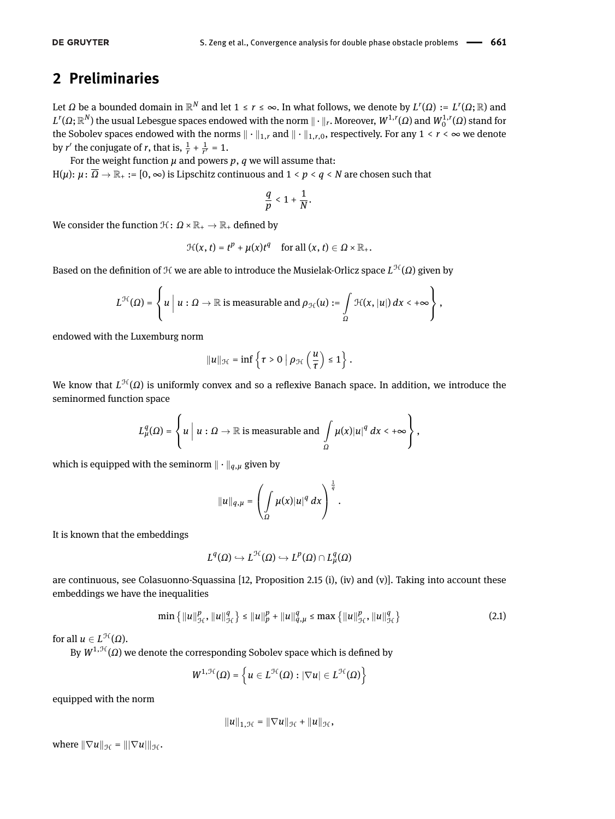## <span id="page-2-0"></span>**2 Preliminaries**

Let Ω be a bounded domain in  $\mathbb{R}^N$  and let 1 ≤ *r* ≤ ∞. In what follows, we denote by  $L^r(\Omega) := L^r(\Omega;\mathbb{R})$  and  $L^r(\Omega;\R^N)$  the usual Lebesgue spaces endowed with the norm  $\|\cdot\|_r.$  Moreover,  $W^{1,r}(\Omega)$  and  $W^{1,r}_0(\Omega)$  stand for the Sobolev spaces endowed with the norms  $\|\cdot\|_{1,r}$  and  $\|\cdot\|_{1,r,0}$ , respectively. For any  $1 \le r \le \infty$  we denote by *r'* the conjugate of *r*, that is,  $\frac{1}{r} + \frac{1}{r'} = 1$ .

For the weight function  $\mu$  and powers  $p$ ,  $q$  we will assume that:  $H(\mu): \mu: \overline{\Omega} \to \mathbb{R}_+ := [0, \infty)$  is Lipschitz continuous and  $1 \leq p \leq q \leq N$  are chosen such that

$$
\frac{q}{p}<1+\frac{1}{N}.
$$

We consider the function  $\mathfrak{H}: \Omega \times \mathbb{R}_+ \to \mathbb{R}_+$  defined by

$$
\mathcal{H}(x,t)=t^p+\mu(x)t^q\quad\text{for all }(x,t)\in\Omega\times\mathbb{R}_+.
$$

Based on the definition of H we are able to introduce the Musielak-Orlicz space *L*<sup>H</sup>(Ω) given by

$$
L^{\mathcal{H}}(\Omega) = \left\{ u \mid u : \Omega \to \mathbb{R} \text{ is measurable and } \rho_{\mathcal{H}}(u) := \int\limits_{\Omega} \mathcal{H}(x, |u|) \, dx < +\infty \right\},
$$

endowed with the Luxemburg norm

$$
||u||_{\mathcal{H}} = \inf \left\{ \tau > 0 \; \middle| \; \rho_{\mathcal{H}}\left(\frac{u}{\tau}\right) \leq 1 \right\}.
$$

We know that  $L^{\mathcal{H}}(\Omega)$  is uniformly convex and so a reflexive Banach space. In addition, we introduce the seminormed function space

$$
L^q_\mu(\Omega) = \left\{ u \mid u : \Omega \to \mathbb{R} \text{ is measurable and } \int\limits_\Omega \mu(x) |u|^q \, dx < +\infty \right\},
$$

which is equipped with the seminorm  $\|\cdot\|_{q,\mu}$  given by

$$
||u||_{q,\mu} = \left(\int\limits_{\Omega} \mu(x)|u|^q\,dx\right)^{\frac{1}{q}}.
$$

It is known that the embeddings

<span id="page-2-1"></span>
$$
L^q(\Omega)\hookrightarrow L^{\mathcal{H}}(\Omega)\hookrightarrow L^p(\Omega)\cap L^q_\mu(\Omega)
$$

are continuous, see Colasuonno-Squassina [\[12,](#page-12-10) Proposition 2.15 (i), (iv) and (v)]. Taking into account these embeddings we have the inequalities

$$
\min \left\{ ||u||_{\mathcal{H}}^p, ||u||_{\mathcal{H}}^q \right\} \le ||u||_p^p + ||u||_{q,\mu}^q \le \max \left\{ ||u||_{\mathcal{H}}^p, ||u||_{\mathcal{H}}^q \right\} \tag{2.1}
$$

for all  $u \in L^{\mathcal{H}}(\Omega)$ .

By  $W^{1,\mathcal{H}}(\Omega)$  we denote the corresponding Sobolev space which is defined by

$$
W^{1,\mathcal{H}}(\Omega)=\left\{u\in L^{\mathcal{H}}(\Omega):\left|\nabla u\right|\in L^{\mathcal{H}}(\Omega)\right\}
$$

equipped with the norm

$$
||u||_{1,\mathcal{H}} = ||\nabla u||_{\mathcal{H}} + ||u||_{\mathcal{H}},
$$

where  $\|\nabla u\|_{\mathcal{H}} = \|\nabla u\|_{\mathcal{H}}$ .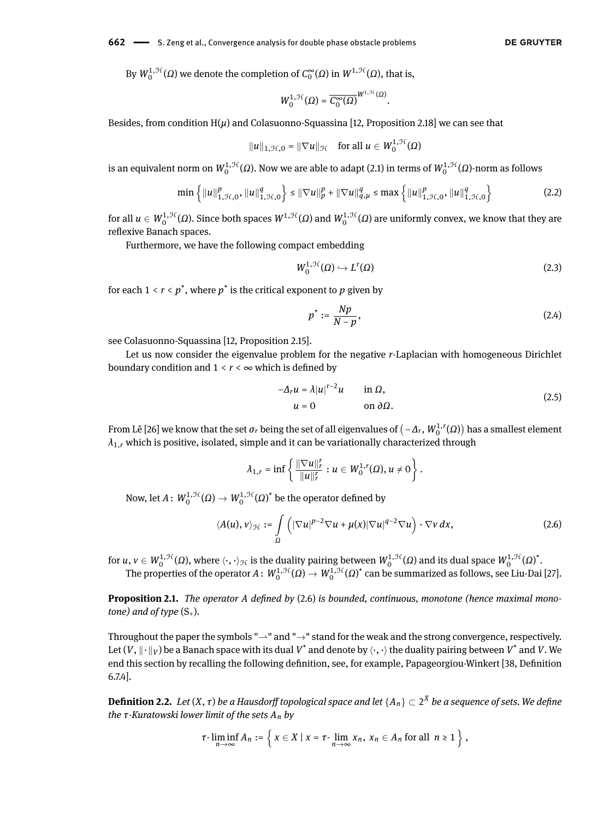**662** — S. Zeng et al., Convergence analysis for double phase obstacle problems

By  $W_0^{1,\mathcal{H}}(\Omega)$  we denote the completion of  $C_0^{\infty}(\Omega)$  in  $W^{1,\mathcal{H}}(\Omega)$ , that is,

$$
W_0^{1,\mathcal{H}}(\Omega)=\overline{C_0^\infty(\Omega)}^{W^{1,\mathcal{H}}(\Omega)}.
$$

Besides, from condition  $H(\mu)$  and Colasuonno-Squassina [\[12,](#page-12-10) Proposition 2.18] we can see that

$$
||u||_{1,\mathcal{H},0} = ||\nabla u||_{\mathcal{H}} \quad \text{for all } u \in W_0^{1,\mathcal{H}}(\Omega)
$$

is an equivalent norm on  $W_0^{1,\mathcal{H}}(\Omega)$ . Now we are able to adapt [\(2.1\)](#page-2-1) in terms of  $W_0^{1,\mathcal{H}}(\Omega)$ -norm as follows

$$
\min\left\{\|u\|_{1,\mathcal{H},0}^p,\|u\|_{1,\mathcal{H},0}^q\right\} \le \|\nabla u\|_p^p + \|\nabla u\|_{q,\mu}^q \le \max\left\{\|u\|_{1,\mathcal{H},0}^p,\|u\|_{1,\mathcal{H},0}^q\right\} \tag{2.2}
$$

for all  $u \in W_0^{1,\mathcal{H}}(\Omega)$ . Since both spaces  $W^{1,\mathcal{H}}(\Omega)$  and  $W_0^{1,\mathcal{H}}(\Omega)$  are uniformly convex, we know that they are reflexive Banach spaces.

Furthermore, we have the following compact embedding

<span id="page-3-6"></span><span id="page-3-4"></span>
$$
W_0^{1,\mathcal{H}}(\Omega) \hookrightarrow L^r(\Omega) \tag{2.3}
$$

for each  $1 < r < p^*$ , where  $p^*$  is the critical exponent to  $p$  given by

<span id="page-3-3"></span><span id="page-3-2"></span>
$$
p^* := \frac{Np}{N-p},\tag{2.4}
$$

see Colasuonno-Squassina [\[12,](#page-12-10) Proposition 2.15].

Let us now consider the eigenvalue problem for the negative *r*-Laplacian with homogeneous Dirichlet boundary condition and  $1 < r < \infty$  which is defined by

$$
-\Delta_r u = \lambda |u|^{r-2}u \qquad \text{in } \Omega,
$$
  
 
$$
u = 0 \qquad \text{on } \partial\Omega.
$$
 (2.5)

From Lê [\[26\]](#page-12-25) we know that the set  $\sigma_r$  being the set of all eigenvalues of  $(-\Delta_r, W^{1,r}_0(\Omega))$  has a smallest element  $\lambda_{1,r}$  which is positive, isolated, simple and it can be variationally characterized through

<span id="page-3-1"></span>
$$
\lambda_{1,r} = \inf \left\{ \frac{\|\nabla u\|_r^r}{\|u\|_r^r} : u \in W_0^{1,r}(\Omega), u \neq 0 \right\}.
$$

Now, let  $A \colon W_0^{1,\mathcal{H}}(\Omega) \to W_0^{1,\mathcal{H}}(\Omega)^\star$  be the operator defined by

$$
\langle A(u), v \rangle_{\mathcal{H}} := \int\limits_{\Omega} \left( |\nabla u|^{p-2} \nabla u + \mu(x) |\nabla u|^{q-2} \nabla u \right) \cdot \nabla v \, dx, \tag{2.6}
$$

for  $u, v \in W_0^{1,\mathcal{H}}(\Omega)$ , where  $\langle \cdot, \cdot \rangle_{\mathcal{H}}$  is the duality pairing between  $W_0^{1,\mathcal{H}}(\Omega)$  and its dual space  $W_0^{1,\mathcal{H}}(\Omega)^\star.$ 

The properties of the operator  $A\colon W_0^{1,\mathcal H}(\Omega)\to W_0^{1,\mathcal H}(\Omega)^\star$  can be summarized as follows, see Liu-Dai [\[27\]](#page-12-15).

<span id="page-3-5"></span>**Proposition 2.1.** *The operator A defined by* [\(2.6\)](#page-3-1) *is bounded, continuous, monotone (hence maximal monotone)* and of type  $(S_+)$ .

Throughout the paper the symbols " $\rightarrow$ " and " $\rightarrow$ " stand for the weak and the strong convergence, respectively. Let (*V* ,  $\|\cdot\|_V$ ) be a Banach space with its dual  $V^*$  and denote by  $\langle\cdot,\cdot\rangle$  the duality pairing between  $V^*$  and  $V$ . We end this section by recalling the following definition, see, for example, Papageorgiou-Winkert [\[38,](#page-13-11) Definition 6.7.4].

<span id="page-3-0"></span> $Definition 2.2.$   $Let$   $(X, \tau)$   $be$   $a$  Hausdorff topological space and let  $\{A_n\}\subset 2^X$   $be$   $a$  sequence of sets. We define *the τ-Kuratowski lower limit of the sets An by*

$$
\tau\text{-}\liminf_{n\to\infty} A_n := \left\{ x \in X \mid x = \tau\text{-}\lim_{n\to\infty} x_n, x_n \in A_n \text{ for all } n \geq 1 \right\},\
$$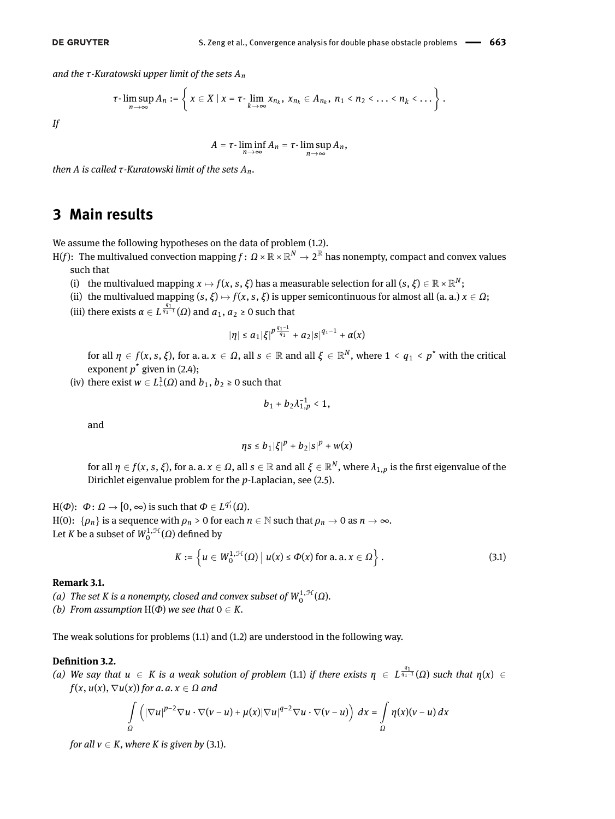*and the τ-Kuratowski upper limit of the sets An*

$$
\tau\text{-}\limsup_{n\to\infty} A_n:=\left\{x\in X\mid x=\tau\text{-}\lim_{k\to\infty} x_{n_k},\ x_{n_k}\in A_{n_k},\ n_1\leq n_2\leq\ldots\leq n_k\leq\ldots\right\}.
$$

*If*

$$
A=\tau\text{-}\liminf_{n\to\infty}A_n=\tau\text{-}\limsup_{n\to\infty}A_n,
$$

*then A is called τ-Kuratowski limit of the sets An.*

## <span id="page-4-0"></span>**3 Main results**

We assume the following hypotheses on the data of problem [\(1.2\)](#page-1-0).

H(f): The multivalued convection mapping  $f\colon\varOmega\times\mathbb{R}\times\mathbb{R}^N\to 2^\mathbb{R}$  has nonempty, compact and convex values such that

- (i) the multivalued mapping  $x \mapsto f(x, s, \xi)$  has a measurable selection for all  $(s, \xi) \in \mathbb{R} \times \mathbb{R}^N;$
- (ii) the multivalued mapping  $(s, \xi) \mapsto f(x, s, \xi)$  is upper semicontinuous for almost all (a. a.)  $x \in \Omega$ ;
- (iii) there exists  $α ∈ L^{\frac{q_1}{q_1-1}}(Ω)$  and  $a_1, a_2 ≥ 0$  such that

$$
|\eta| \leq a_1 |\xi|^{p \frac{q_1-1}{q_1}} + a_2 |s|^{q_1-1} + \alpha(x)
$$

for all  $\eta\in f(x,s,\xi)$ , for a. a.  $x\in\Omega$ , all  $s\in\mathbb{R}$  and all  $\xi\in\mathbb{R}^N,$  where  $1< q_1< p^\star$  with the critical exponent  $p^*$  given in [\(2.4\)](#page-3-2);

(iv) there exist  $w \in L^1_+(\Omega)$  and  $b_1, b_2 \ge 0$  such that

$$
b_1+b_2\lambda_{1,p}^{-1}<1,
$$

and

$$
\eta s\leq b_1|\xi|^p+b_2|s|^p+w(x)
$$

for all  $\eta\in f(x,s,\xi),$  for a. a.  $x\in\Omega,$  all  $s\in\R$  and all  $\xi\in\R^N,$  where  $\lambda_{1,p}$  is the first eigenvalue of the Dirichlet eigenvalue problem for the *p*-Laplacian, see [\(2.5\)](#page-3-3).

 $H(\Phi)$ :  $Φ$  :  $Ω → [0, ∞)$  is such that  $Φ ∈ L^{q'_1}(\Omega)$ .  $H(0): \{\rho_n\}$  is a sequence with  $\rho_n > 0$  for each  $n \in \mathbb{N}$  such that  $\rho_n \to 0$  as  $n \to \infty$ . Let *K* be a subset of  $W_0^{1,\mathcal{H}}(\Omega)$  defined by

<span id="page-4-1"></span>
$$
K:=\left\{u\in W^{1,\mathcal{H}}_0(\Omega)\,\big|\,u(x)\leq \Phi(x)\text{ for a. a. }x\in\Omega\right\}.
$$
\n(3.1)

#### **Remark 3.1.**

- (a) The set K is a nonempty, closed and convex subset of  $W_0^{1, \mathcal{H}}(\Omega)$ .
- *(b)* From assumption  $H(\Phi)$  we see that  $0 \in K$ .

The weak solutions for problems [\(1.1\)](#page-0-0) and [\(1.2\)](#page-1-0) are understood in the following way.

#### <span id="page-4-2"></span>**Definition 3.2.**

*(a)* We say that  $u$  ∈ *K* is a weak solution of problem [\(1.1\)](#page-0-0) if there exists  $η$  ∈  $L^{\frac{q_1}{q_1-1}}(Ω)$  such that  $η(x)$  ∈  $f(x, u(x), \nabla u(x))$  *for a. a.*  $x \in \Omega$  *and* 

$$
\int_{\Omega} \left( |\nabla u|^{p-2} \nabla u \cdot \nabla (v-u) + \mu(x) |\nabla u|^{q-2} \nabla u \cdot \nabla (v-u) \right) dx = \int_{\Omega} \eta(x) (v-u) dx
$$

*for all*  $v \in K$ *, where*  $K$  *is given by* [\(3.1\)](#page-4-1).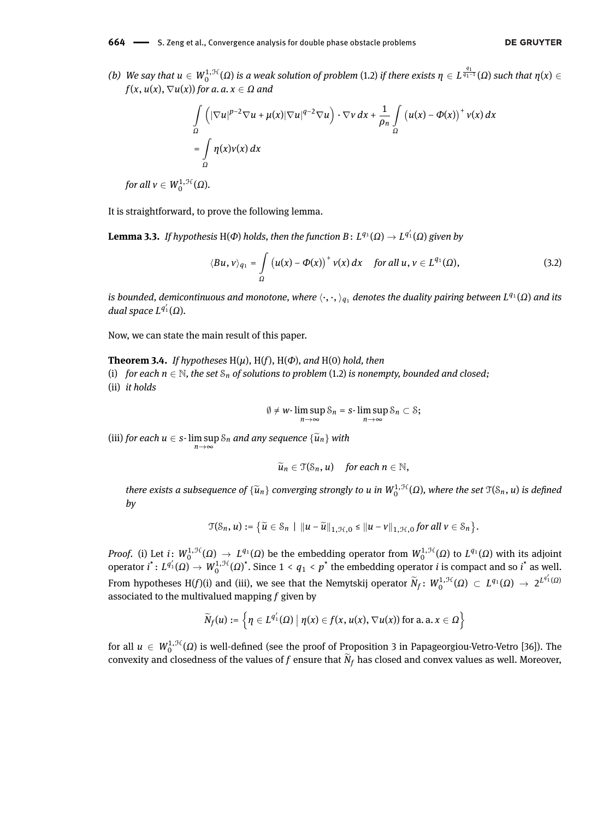$(b)$  We say that  $u ∈ W_0^{1, \mathcal{H}}(\Omega)$  is a weak solution of problem [\(1.2\)](#page-1-0) if there exists  $η ∈ L^{\frac{q_1}{q_1-1}}(\Omega)$  such that  $η(x) ∈$  $f(x, u(x), \nabla u(x))$  *for a. a.*  $x \in \Omega$  *and* 

$$
\int_{\Omega} \left( |\nabla u|^{p-2} \nabla u + \mu(x) |\nabla u|^{q-2} \nabla u \right) \cdot \nabla v \, dx + \frac{1}{\rho_n} \int_{\Omega} \left( u(x) - \Phi(x) \right)^+ v(x) \, dx
$$
\n
$$
= \int_{\Omega} \eta(x) v(x) \, dx
$$

 $for \ all \ \nu \in W_0^{1,\mathcal{H}}(\Omega)$ .

It is straightforward, to prove the following lemma.

 ${\bf L}$ emma 3.3. *If hypothesis*  ${\rm H}(\Phi)$  *holds, then the function B* :  $L^{q_1}(\Omega) \to L^{q_1'}(\Omega)$  given by

$$
\langle Bu, v \rangle_{q_1} = \int\limits_{\Omega} \left( u(x) - \Phi(x) \right)^+ v(x) \, dx \quad \text{for all } u, v \in L^{q_1}(\Omega), \tag{3.2}
$$

 $i$ s bounded, demicontinuous and monotone, where  $\langle\cdot,\cdot,\rangle_{q_1}$  denotes the duality pairing between  $L^{q_1}(\Omega)$  and its  $d$ ual space  $L^{q'_1}(\Omega)$ .

Now, we can state the main result of this paper.

<span id="page-5-0"></span>**Theorem 3.4.** *If hypotheses* H(*µ*), H(*f*), H(*Φ*)*, and* H(0) *hold, then*

(i) *for each*  $n \in \mathbb{N}$ , the set  $S_n$  of solutions to problem [\(1.2\)](#page-1-0) is nonempty, bounded and closed; (ii) *it holds*

<span id="page-5-1"></span>
$$
\emptyset \neq w\text{-}\limsup_{n\to\infty} \mathcal{S}_n = s\text{-}\limsup_{n\to\infty} \mathcal{S}_n \subset \mathcal{S};
$$

(iii) *for each*  $u \in s$ -  $\limsup_{n \to \infty} S_n$  *and any sequence*  $\{\widetilde{u}_n\}$  *with* 

$$
\widetilde{u}_n\in \mathfrak{T}(\mathcal{S}_n,u) \quad \text{for each } n\in\mathbb{N},
$$

*there exists a subsequence of*  $\{\widetilde{u}_n\}$  *converging strongly to u in*  $W_0^{1,\mathcal{H}}(\Omega)$ *, where the set*  $\mathfrak{T}(\mathcal{S}_n,\mathfrak{u})$  *is defined by*

$$
\mathfrak{T}(\mathcal{S}_n, u) := \big\{ \widetilde{u} \in \mathcal{S}_n \mid ||u - \widetilde{u}||_{1, \mathcal{H}, 0} \leq ||u - v||_{1, \mathcal{H}, 0} \text{ for all } v \in \mathcal{S}_n \big\}.
$$

*Proof.* (i) Let  $i: W_0^{1,\mathcal{H}}(\Omega) \to L^{q_1}(\Omega)$  be the embedding operator from  $W_0^{1,\mathcal{H}}(\Omega)$  to  $L^{q_1}(\Omega)$  with its adjoint operator  $i^*: L^{q'_1}(\Omega) \to W_0^{1,\mathcal{H}}(\Omega)^*$ . Since  $1 < q_1 < p^*$  the embedding operator *i* is compact and so  $i^*$  as well. From hypotheses H(f)(i) and (iii), we see that the Nemytskij operator  $\widetilde{N}_f\colon W_0^{1,\mathcal{H}}(\Omega)\, \subset\, L^{q_1}(\Omega)\, \to\, 2^{L^{q'_1}(\Omega)}$ associated to the multivalued mapping *f* given by

$$
\widetilde{N}_f(u) := \left\{ \eta \in L^{q'_1}(\Omega) \bigm| \eta(x) \in f(x,u(x), \nabla u(x)) \text{ for a. a.} \ x \in \Omega \right\}
$$

for all  $u\,\in\,W_0^{1,\mathfrak{H}}(\Omega)$  is well-defined (see the proof of Proposition 3 in Papageorgiou-Vetro-Vetro [\[36\]](#page-12-26)). The convexity and closedness of the values of  $f$  ensure that  $N_f$  has closed and convex values as well. Moreover,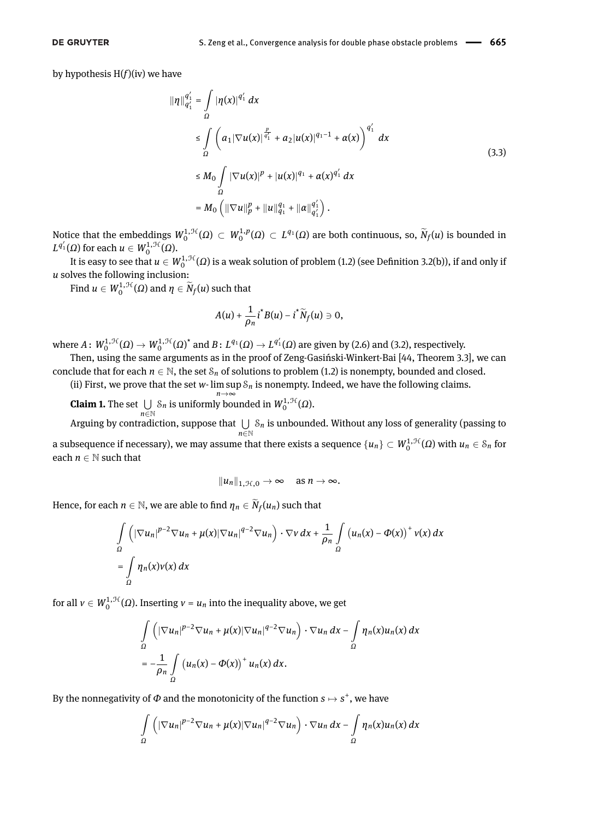by hypothesis  $H(f)(iv)$  we have

$$
\|\eta\|_{q_1'}^{q_1'} = \int_{\Omega} |\eta(x)|^{q_1'} dx
$$
  
\n
$$
\leq \int_{\Omega} \left( a_1 |\nabla u(x)|^{\frac{p}{q_1'}} + a_2 |u(x)|^{q_1-1} + \alpha(x) \right)^{q_1'} dx
$$
  
\n
$$
\leq M_0 \int_{\Omega} |\nabla u(x)|^p + |u(x)|^{q_1} + \alpha(x)^{q_1'} dx
$$
  
\n
$$
= M_0 \left( \|\nabla u\|_p^p + \|u\|_{q_1}^{q_1} + \|\alpha\|_{q_1'}^{q_1'} \right).
$$
\n(3.3)

Notice that the embeddings  $W_0^{1, \mathcal{H}}(\Omega) \subset W_0^{1, p}(\Omega) \subset L^{q_1}(\Omega)$  are both continuous, so,  $\widetilde{N}_f(u)$  is bounded in  $L^{q'_1}$ (Ω) for each  $u ∈ W_0^{1, \mathcal{H}}(Ω)$ .

It is easy to see that  $u \in W_0^{1,\mathcal{H}}(\Omega)$  is a weak solution of problem [\(1.2\)](#page-1-0) (see Definition [3.2\(](#page-4-2)b)), if and only if *u* solves the following inclusion:

Find  $u \in W_0^{1,\mathcal{H}}(\Omega)$  and  $\eta \in \widetilde{N}_f(u)$  such that

<span id="page-6-0"></span>
$$
A(u)+\frac{1}{\rho_n}i^*B(u)-i^*\widetilde{N}_f(u)\ni 0,
$$

where  $A\colon W_0^{1,\mathcal{H}}(\Omega)\to W_0^{1,\mathcal{H}}(\Omega)^{\star}$  and  $B\colon L^{q_1}(\Omega)\to L^{q_1'}(\Omega)$  are given by [\(2.6\)](#page-3-1) and [\(3.2\)](#page-5-1), respectively.

Then, using the same arguments as in the proof of Zeng-Gasiński-Winkert-Bai [\[44,](#page-13-1) Theorem 3.3], we can conclude that for each  $n \in \mathbb{N}$ , the set  $S_n$  of solutions to problem [\(1.2\)](#page-1-0) is nonempty, bounded and closed.

(ii) First, we prove that the set *w*- lim sup S*<sup>n</sup>* is nonempty. Indeed, we have the following claims. *n*→∞

**Claim 1.** The set  $\bigcup S_n$  is uniformly bounded in  $W_0^{1, \mathcal{H}}(\Omega)$ . *n*∈N

Arguing by contradiction, suppose that  $\bigcup$ *n*∈N S*<sup>n</sup>* is unbounded. Without any loss of generality (passing to a subsequence if necessary), we may assume that there exists a sequence  $\{u_n\}\subset W^{1,\mathcal{H}}_0(\Omega)$  with  $u_n\in\mathcal{S}_n$  for each  $n \in \mathbb{N}$  such that

$$
||u_n||_{1,\mathcal{H},0} \to \infty \quad \text{as } n \to \infty.
$$

Hence, for each  $n \in \mathbb{N}$ , we are able to find  $\eta_n \in \widetilde{N}_f(u_n)$  such that

$$
\int_{\Omega} \left( |\nabla u_n|^{p-2} \nabla u_n + \mu(x) |\nabla u_n|^{q-2} \nabla u_n \right) \cdot \nabla v \, dx + \frac{1}{\rho_n} \int_{\Omega} \left( u_n(x) - \Phi(x) \right)^+ v(x) \, dx
$$
\n
$$
= \int_{\Omega} \eta_n(x) v(x) \, dx
$$

for all  $v \in W_0^{1,\mathcal{H}}(\Omega)$ . Inserting  $v = u_n$  into the inequality above, we get

$$
\int_{\Omega} \left( |\nabla u_n|^{p-2} \nabla u_n + \mu(x) |\nabla u_n|^{q-2} \nabla u_n \right) \cdot \nabla u_n \, dx - \int_{\Omega} \eta_n(x) u_n(x) \, dx
$$
\n
$$
= -\frac{1}{\rho_n} \int_{\Omega} \left( u_n(x) - \Phi(x) \right)^+ u_n(x) \, dx.
$$

By the nonnegativity of  $\Phi$  and the monotonicity of the function  $s \mapsto s^+$ , we have

$$
\int_{\Omega} \left( |\nabla u_n|^{p-2} \nabla u_n + \mu(x) |\nabla u_n|^{q-2} \nabla u_n \right) \cdot \nabla u_n \, dx - \int_{\Omega} \eta_n(x) u_n(x) \, dx
$$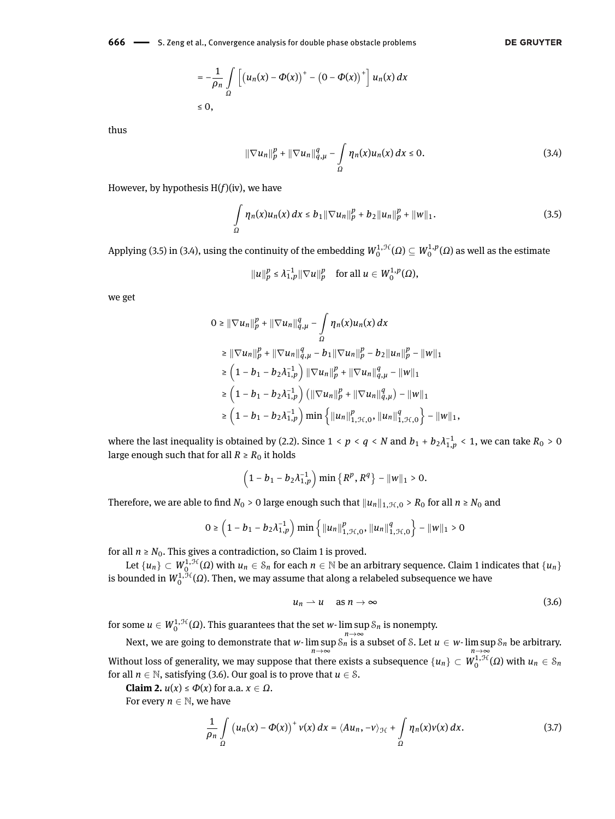**666** — S. Zeng et al., Convergence analysis for double phase obstacle problems

$$
= -\frac{1}{\rho_n} \int\limits_{\Omega} \left[ \left( u_n(x) - \Phi(x) \right)^+ - \left( 0 - \Phi(x) \right)^+ \right] u_n(x) dx
$$
  
\n
$$
\leq 0,
$$

thus

$$
\|\nabla u_n\|_p^p + \|\nabla u_n\|_{q,\mu}^q - \int_{\Omega} \eta_n(x)u_n(x)\,dx \le 0.
$$
 (3.4)

However, by hypothesis H(*f*)(iv), we have

$$
\int_{\Omega} \eta_n(x) u_n(x) \, dx \leq b_1 \| \nabla u_n \|_p^p + b_2 \| u_n \|_p^p + \| w \|_1. \tag{3.5}
$$

Applying [\(3.5\)](#page-7-0) in [\(3.4\)](#page-7-1), using the continuity of the embedding  $W_0^{1,1(f)}(\Omega) \subseteq W_0^{1,p}(\Omega)$  as well as the estimate

$$
||u||_p^p \leq \lambda_{1,p}^{-1} ||\nabla u||_p^p
$$
 for all  $u \in W_0^{1,p}(\Omega)$ ,

we get

$$
0 \geq \|\nabla u_{n}\|_{p}^{p} + \|\nabla u_{n}\|_{q,\mu}^{q} - \int_{\Omega} \eta_{n}(x)u_{n}(x) dx
$$
  
\n
$$
\geq \|\nabla u_{n}\|_{p}^{p} + \|\nabla u_{n}\|_{q,\mu}^{q} - b_{1}\|\nabla u_{n}\|_{p}^{p} - b_{2}\|u_{n}\|_{p}^{p} - \|w\|_{1}
$$
  
\n
$$
\geq \left(1 - b_{1} - b_{2}\lambda_{1,p}^{-1}\right) \|\nabla u_{n}\|_{p}^{p} + \|\nabla u_{n}\|_{q,\mu}^{q} - \|w\|_{1}
$$
  
\n
$$
\geq \left(1 - b_{1} - b_{2}\lambda_{1,p}^{-1}\right) \left(\|\nabla u_{n}\|_{p}^{p} + \|\nabla u_{n}\|_{q,\mu}^{q}\right) - \|w\|_{1}
$$
  
\n
$$
\geq \left(1 - b_{1} - b_{2}\lambda_{1,p}^{-1}\right) \min \left\{\|u_{n}\|_{1,\mathcal{H},0}^{p}, \|u_{n}\|_{1,\mathcal{H},0}^{q}\right\} - \|w\|_{1},
$$

where the last inequality is obtained by [\(2.2\)](#page-3-4). Since  $1 < p < q < N$  and  $b_1 + b_2 \lambda^{-1}_{1,p} < 1$ , we can take  $R_0 > 0$ large enough such that for all  $R \ge R_0$  it holds

$$
\left(1-b_1-b_2\lambda_{1,p}^{-1}\right)\min\{R^p,R^q\}-\|w\|_1>0.
$$

Therefore, we are able to find  $N_0 > 0$  large enough such that  $||u_n||_{1, \mathcal{H},0} > R_0$  for all  $n \ge N_0$  and

$$
0 \ge \left(1 - b_1 - b_2 \lambda_{1,p}^{-1}\right) \min\left\{\|u_n\|_{1,\mathcal{H},0}^p, \|u_n\|_{1,\mathcal{H},0}^q\right\} - \|w\|_1 > 0
$$

for all  $n \geq N_0$ . This gives a contradiction, so Claim 1 is proved.

Let  $\{u_n\}\subset W_Q^{1,\mathcal{H}}(\Omega)$  with  $u_n\in S_n$  for each  $n\in\mathbb{N}$  be an arbitrary sequence. Claim 1 indicates that  $\{u_n\}$ is bounded in  $W_0^{1,\mathcal{H}}(\varOmega).$  Then, we may assume that along a relabeled subsequence we have

<span id="page-7-3"></span><span id="page-7-2"></span>
$$
u_n \rightharpoonup u \quad \text{as } n \to \infty \tag{3.6}
$$

for some  $u \in W_0^{1,\mathcal{H}}(\Omega).$  This guarantees that the set *w*- lim sup  $\mathcal{S}_n$  is nonempty.

Next, we are going to demonstrate that *w*- lim sup  $\delta_n \to \infty$  subset of *S*. Let  $u \in w$ - lim sup  $\delta_n$  be arbitrary. Without loss of generality, we may suppose that there exists a subsequence  $\{u_n\}\subset W^{1,\mathcal{H}}_0(\Omega)$  with  $u_n\in\mathcal{S}_n$ for all  $n \in \mathbb{N}$ , satisfying [\(3.6\)](#page-7-2). Our goal is to prove that  $u \in \mathcal{S}$ .

**Claim 2.**  $u(x) \le \Phi(x)$  for a.a.  $x \in \Omega$ .

For every  $n \in \mathbb{N}$ , we have

$$
\frac{1}{\rho_n}\int\limits_{\Omega}\left(u_n(x)-\Phi(x)\right)^+v(x)\,dx=\langle Au_n,-v\rangle_{\mathcal{H}}+\int\limits_{\Omega}\eta_n(x)v(x)\,dx.\tag{3.7}
$$

<span id="page-7-1"></span><span id="page-7-0"></span>**DE GRUYTER**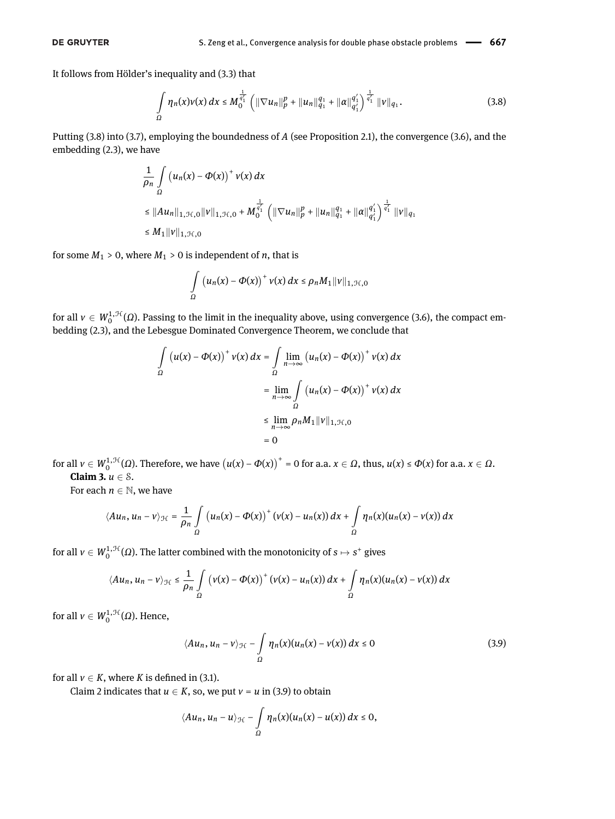It follows from Hölder's inequality and [\(3.3\)](#page-6-0) that

<span id="page-8-0"></span>
$$
\int_{\Omega} \eta_n(x)\nu(x)\,dx \leq M_0^{\frac{1}{q'_1}} \left( \|\nabla u_n\|_p^p + \|u_n\|_{q_1}^{q_1} + \|\alpha\|_{q'_1}^{q'_1} \right)^{\frac{1}{q'_1}} \|\nu\|_{q_1}.
$$
\n(3.8)

Putting [\(3.8\)](#page-8-0) into [\(3.7\)](#page-7-3), employing the boundedness of *A* (see Proposition [2.1\)](#page-3-5), the convergence [\(3.6\)](#page-7-2), and the embedding [\(2.3\)](#page-3-6), we have

$$
\frac{1}{\rho_n} \int_{\Omega} \left( u_n(x) - \Phi(x) \right)^+ v(x) dx
$$
\n
$$
\leq \|Au_n\|_{1, \mathcal{H}, 0} \|v\|_{1, \mathcal{H}, 0} + M_0^{\frac{1}{q'_1}} \left( \|\nabla u_n\|_{p}^p + \|u_n\|_{q_1}^{q_1} + \|a\|_{q'_1}^{q'_1} \right)^{\frac{1}{q'_1}} \|v\|_{q_1}
$$
\n
$$
\leq M_1 \|v\|_{1, \mathcal{H}, 0}
$$

for some  $M_1 > 0$ , where  $M_1 > 0$  is independent of *n*, that is

$$
\int_{\Omega} (u_n(x) - \Phi(x))^+ v(x) dx \leq \rho_n M_1 ||v||_{1, \mathcal{H}, 0}
$$

for all  $v \in W_0^{1,\mathcal{H}}(\Omega)$ . Passing to the limit in the inequality above, using convergence [\(3.6\)](#page-7-2), the compact embedding [\(2.3\)](#page-3-6), and the Lebesgue Dominated Convergence Theorem, we conclude that

$$
\int_{\Omega} (u(x) - \Phi(x))^{+} v(x) dx = \int_{\Omega} \lim_{n \to \infty} (u_{n}(x) - \Phi(x))^{+} v(x) dx
$$

$$
= \lim_{n \to \infty} \int_{\Omega} (u_{n}(x) - \Phi(x))^{+} v(x) dx
$$

$$
\leq \lim_{n \to \infty} \rho_{n} M_{1} ||v||_{1, \mathcal{H}, 0}
$$

$$
= 0
$$

for all  $v \in W_0^{1,\mathcal{H}}(\Omega)$ . Therefore, we have  $(u(x) - \Phi(x))$ <sup>+</sup> = 0 for a.a.  $x \in \Omega$ , thus,  $u(x) \le \Phi(x)$  for a.a.  $x \in \Omega$ . **Claim 3.** *u* ∈ S.

For each  $n \in \mathbb{N}$ , we have

$$
\langle Au_n, u_n - v \rangle_{\mathcal{H}} = \frac{1}{\rho_n} \int\limits_{\Omega} \left( u_n(x) - \Phi(x) \right)^+ \left( v(x) - u_n(x) \right) dx + \int\limits_{\Omega} \eta_n(x) (u_n(x) - v(x)) dx
$$

for all  $v \in W_0^{1,\mathcal{H}}(\Omega)$ . The latter combined with the monotonicity of  $s \mapsto s^+$  gives

$$
\langle Au_n, u_n - v \rangle_{\mathcal{H}} \leq \frac{1}{\rho_n} \int\limits_{\Omega} \left( v(x) - \Phi(x) \right)^+ \left( v(x) - u_n(x) \right) dx + \int\limits_{\Omega} \eta_n(x) (u_n(x) - v(x)) dx
$$

for all  $v \in W_0^{1,\mathcal{H}}(\Omega)$ . Hence,

<span id="page-8-1"></span>
$$
\langle Au_n, u_n - v \rangle_{\mathcal{H}} - \int_{\Omega} \eta_n(x) (u_n(x) - v(x)) \, dx \le 0 \tag{3.9}
$$

for all  $v \in K$ , where *K* is defined in [\(3.1\)](#page-4-1).

Claim 2 indicates that  $u \in K$ , so, we put  $v = u$  in [\(3.9\)](#page-8-1) to obtain

$$
\langle Au_n, u_n-u\rangle_{\mathcal{H}}-\int\limits_{\Omega}\eta_n(x)(u_n(x)-u(x))\,dx\leq 0,
$$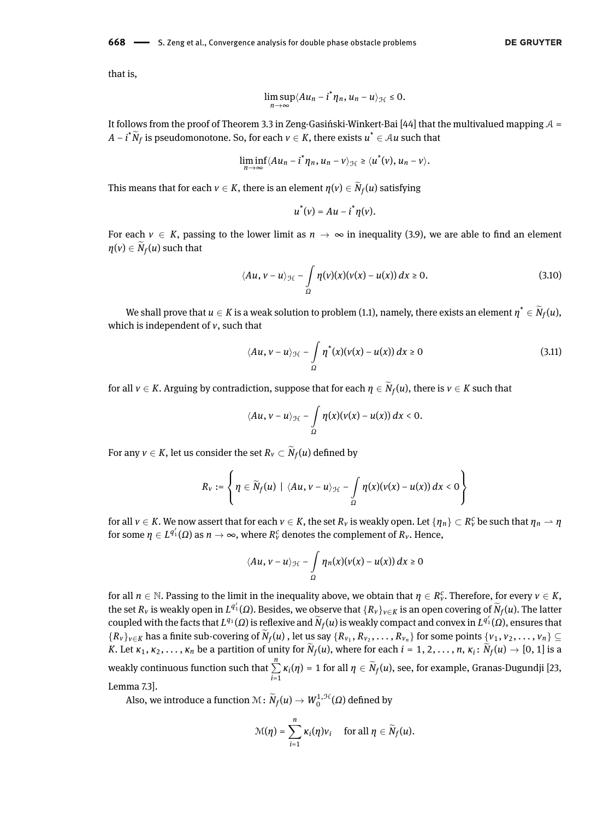**668** — S. Zeng et al., Convergence analysis for double phase obstacle problems

that is,

$$
\limsup_{n\to\infty}\langle Au_n-i^*\eta_n,u_n-u\rangle_{\mathcal{H}}\leq 0.
$$

It follows from the proof of Theorem 3.3 in Zeng-Gasiński-Winkert-Bai [\[44\]](#page-13-1) that the multivalued mapping  $A =$ *A* − *i*<sup>\*</sup> $\tilde{N}_f$  is pseudomonotone. So, for each  $v \in K$ , there exists  $u^* \in A u$  such that

$$
\liminf_{n\to\infty}\langle Au_n-i^*\eta_n,u_n-v\rangle_{\mathcal{H}}\geq\langle u^*(v),u_n-v\rangle.
$$

This means that for each  $v \in K$ , there is an element  $\eta(v) \in N_f(u)$  satisfying

<span id="page-9-1"></span><span id="page-9-0"></span>
$$
u^*(v) = Au - i^*\eta(v).
$$

For each  $v \in K$ , passing to the lower limit as  $n \to \infty$  in inequality [\(3.9\)](#page-8-1), we are able to find an element  $\eta(v) \in N_f(u)$  such that

$$
\langle Au, v - u \rangle_{\mathcal{H}} - \int_{\Omega} \eta(v)(x)(v(x) - u(x)) dx \ge 0.
$$
 (3.10)

We shall prove that  $u \in K$  is a weak solution to problem [\(1.1\)](#page-0-0), namely, there exists an element  $\eta^* \in N_f(u)$ , which is independent of *v*, such that

$$
\langle Au, v - u \rangle_{\mathcal{H}} - \int_{\Omega} \eta^*(x) (v(x) - u(x)) \, dx \ge 0 \tag{3.11}
$$

for all  $v \in K$ . Arguing by contradiction, suppose that for each  $\eta \in N_f(u)$ , there is  $v \in K$  such that

$$
\langle Au, v-u\rangle_{\mathcal{H}} - \int_{\Omega} \eta(x) (v(x) - u(x)) \, dx < 0.
$$

For any  $v \in K$ , let us consider the set  $R_v \subset N_f(u)$  defined by

$$
R_v:=\left\{\eta\in \widetilde{N}_f(u)\mid \langle Au, v-u\rangle_{\mathcal{H}}-\int\limits_{\Omega}\eta(x)(v(x)-u(x))\,dx<0\right\}
$$

for all  $v\in K.$  We now assert that for each  $v\in K,$  the set  $R_v$  is weakly open. Let  $\{\eta_n\}\subset R_v^c$  be such that  $\eta_n\to\eta$ for some  $\eta \in L^{q'_1}(\Omega)$  as  $n \to \infty$ , where  $R^c_\nu$  denotes the complement of  $R_\nu$ . Hence,

$$
\langle Au, v-u\rangle_{\mathcal{H}} - \int\limits_{\Omega} \eta_n(x)(v(x)-u(x))\,dx \geq 0
$$

for all  $n \in \mathbb{N}$ . Passing to the limit in the inequality above, we obtain that  $\eta \in R_v^c$ . Therefore, for every  $v \in K$ , the set  $R_v$  is weakly open in  $L^{q'_1}(\Omega)$ . Besides, we observe that  $\{R_v\}_{v\in K}$  is an open covering of  $\widetilde N_f(u)$ . The latter coupled with the facts that  $L^{q_1}(\Omega)$  is reflexive and  $\widetilde{N}_f(u)$  is weakly compact and convex in  $L^{q_1'}(\Omega)$ , ensures that  ${R_v}_{v \in K}$  has a finite sub-covering of  $N_f(u)$ , let us say  ${R_{v_1}, R_{v_2}, \ldots, R_{v_n}}$  for some points  ${v_1, v_2, \ldots, v_n} \subseteq$ K. Let  $\kappa_1,\kappa_2,\ldots,\kappa_n$  be a partition of unity for  $N_f(u)$ , where for each  $i=1,2,\ldots,n$ ,  $\kappa_i\colon N_f(u)\to [0,1]$  is a weakly continuous function such that  $\sum^{n}$  $\sum_{i=1}$  *κ*<sub>*i*</sub>(*η*) = 1 for all *η* ∈ *N<sub>f</sub>*(*u*), see, for example, Granas-Dugundji [\[23,](#page-12-27) Lemma 7.3].

Also, we introduce a function  $\mathcal{M}\colon \widetilde{N}_f(u) \to W^{1,\mathcal{H}}_0(\Omega)$  defined by

$$
\mathcal{M}(\eta) = \sum_{i=1}^n \kappa_i(\eta) v_i \quad \text{ for all } \eta \in \widetilde{N}_f(u).
$$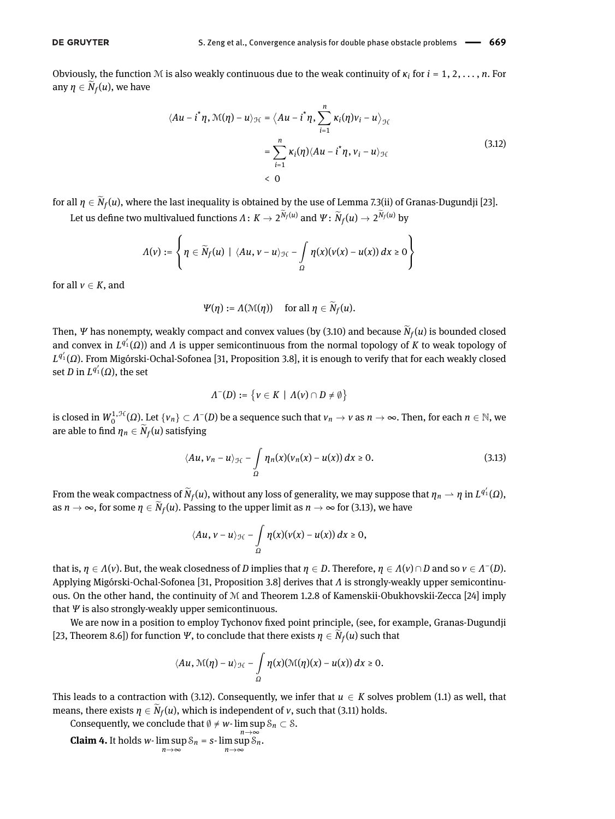#### **DE GRUYTER**

Obviously, the function M is also weakly continuous due to the weak continuity of *κ<sup>i</sup>* for *i* = 1, 2, *. . .* , *n*. For any  $\eta \in N_f(u)$ , we have

<span id="page-10-1"></span>
$$
\langle Au - i^* \eta, \mathcal{M}(\eta) - u \rangle_{\mathcal{H}} = \langle Au - i^* \eta, \sum_{i=1}^n \kappa_i(\eta) v_i - u \rangle_{\mathcal{H}}
$$
  

$$
= \sum_{i=1}^n \kappa_i(\eta) \langle Au - i^* \eta, v_i - u \rangle_{\mathcal{H}}
$$
  

$$
< 0
$$
 (3.12)

for all *η* ∈ *N<sub>f</sub>*(*u*), where the last inequality is obtained by the use of Lemma 7.3(ii) of Granas-Dugundji [\[23\]](#page-12-27). Let us define two multivalued functions  $Λ$  :  $K → 2^{N_f(u)}$  and  $Ψ$  :  $\widetilde{N}_f(u) → 2^{N_f(u)}$  by

$$
\Lambda(v):=\left\{\eta\in \widetilde{N}_f(u)\mid \langle Au, v-u\rangle_{\mathcal{H}}-\int\limits_\Omega\eta(x)(v(x)-u(x))\,dx\geq 0\right\}
$$

for all  $v \in K$ , and

$$
\Psi(\eta) := \Lambda(\mathfrak{M}(\eta)) \quad \text{ for all } \eta \in \widetilde{N}_f(u).
$$

Then, *Ψ* has nonempty, weakly compact and convex values (by [\(3.10\)](#page-9-0) and because  $N_f(u)$  is bounded closed and convex in *L*<sup>q'</sup><sub>1</sub>(Ω)) and *Λ* is upper semicontinuous from the normal topology of *K* to weak topology of *L q* 0 <sup>1</sup> (*Ω*). From Migórski-Ochal-Sofonea [\[31,](#page-12-28) Proposition 3.8], it is enough to verify that for each weakly closed set *D* in  $L^{q'_1}(\Omega)$ , the set

<span id="page-10-0"></span>
$$
\Lambda^-(D) := \{ v \in K \mid \Lambda(v) \cap D \neq \emptyset \}
$$

is closed in  $W^{1,\mathcal{H}}_0(\Omega)$ . Let  $\{v_n\}\subset\varLambda^-(D)$  be a sequence such that  $v_n\to v$  as  $n\to\infty.$  Then, for each  $n\in\mathbb{N},$  we are able to find  $\eta_n \in N_f(u)$  satisfying

$$
\langle Au, v_n - u \rangle_{\mathcal{H}} - \int_{\Omega} \eta_n(x) (v_n(x) - u(x)) \, dx \ge 0. \tag{3.13}
$$

From the weak compactness of  $\widetilde{N}_f(u)$ , without any loss of generality, we may suppose that  $\eta_n \to \eta$  in  $L^{q_1'}(\Omega)$ , as  $n \to \infty$ , for some  $\eta \in N_f(u)$ . Passing to the upper limit as  $n \to \infty$  for [\(3.13\)](#page-10-0), we have

$$
\langle Au, v-u\rangle_{\mathcal{H}} - \int\limits_{\Omega} \eta(x)(v(x)-u(x))\,dx \geq 0,
$$

that is,  $\eta \in \Lambda(v)$ . But, the weak closedness of *D* implies that  $\eta \in D$ . Therefore,  $\eta \in \Lambda(v) \cap D$  and so  $v \in \Lambda^-(D)$ . Applying Migórski-Ochal-Sofonea [\[31,](#page-12-28) Proposition 3.8] derives that *Λ* is strongly-weakly upper semicontinuous. On the other hand, the continuity of M and Theorem 1.2.8 of Kamenskii-Obukhovskii-Zecca [\[24\]](#page-12-29) imply that *Ψ* is also strongly-weakly upper semicontinuous.

We are now in a position to employ Tychonov fixed point principle, (see, for example, Granas-Dugundji [\[23,](#page-12-27) Theorem 8.6]) for function  $\Psi$ , to conclude that there exists  $\eta \in N_f(u)$  such that

$$
\langle Au, \mathcal{M}(\eta) - u \rangle_{\mathcal{H}} - \int_{\Omega} \eta(x) (\mathcal{M}(\eta)(x) - u(x)) dx \geq 0.
$$

This leads to a contraction with [\(3.12\)](#page-10-1). Consequently, we infer that  $u \in K$  solves problem [\(1.1\)](#page-0-0) as well, that means, there exists  $\eta \in N_f(u)$ , which is independent of *v*, such that [\(3.11\)](#page-9-1) holds.

Consequently, we conclude that  $\emptyset \neq w$ - lim sup  $\mathcal{S}_n \subset \mathcal{S}$ .

**Claim 4.** It holds *w*-  $\limsup_{n \to \infty} S_n = s$ -  $\limsup_{n \to \infty} S_n$ .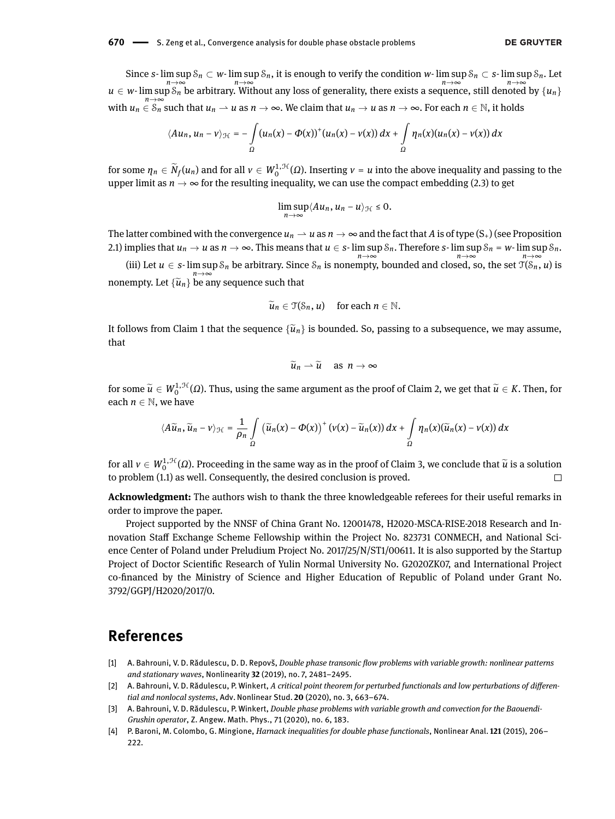Since  $s$ - lim  $\sup\ S_n\subset w$ - lim  $\sup S_n$ , it is enough to verify the condition  $w$ - lim  $\sup S_n\subset s$ - lim  $\sup S_n$ . Let *n*→∞<br> *n*→∞ *n*→∞ *n*→∞ *n*→∞ *n*→∞ *n*→∞ *n*→∞ *n*→∞ *n*→∞ *n*→∞ *n*→∞ *n* with  $u_n \in S_n$  such that  $u_n \rightharpoonup u$  as  $n \to \infty$ . We claim that  $u_n \to u$  as  $n \to \infty$ . For each  $n \in \mathbb{N}$ , it holds

$$
\langle Au_n, u_n - v \rangle_{\mathcal{H}} = -\int_{\Omega} (u_n(x) - \Phi(x))^+(u_n(x) - v(x)) dx + \int_{\Omega} \eta_n(x)(u_n(x) - v(x)) dx
$$

for some  $\eta_n \in \widetilde{N}_f(u_n)$  and for all  $v \in W_0^{1, \mathcal{H}}(\Omega)$ . Inserting  $v = u$  into the above inequality and passing to the upper limit as  $n \to \infty$  for the resulting inequality, we can use the compact embedding [\(2.3\)](#page-3-6) to get

$$
\limsup_{n\to\infty}\langle Au_n, u_n-u\rangle_{\mathcal{H}}\leq 0.
$$

The latter combined with the convergence  $u_n \to u$  as  $n \to \infty$  and the fact that A is of type  $(S_+)$  (see Proposition [2.1\)](#page-3-5) implies that  $u_n\to u$  as  $n\to\infty.$  This means that  $u\in s\text{-}\limsup\mathcal S_n.$  Therefore  $s\text{-}\limsup\mathcal S_n$  =  $w\text{-}\limsup\mathcal S_n.$ 

(iii) Let *u* ∈ *s*- lim sup  $S_n$  be arbitrary. Since  $S_n$  is nonempty, bounded and closed, so, the set  $\mathcal{T}(S_n, u)$  is nonempty. Let  $\{\widetilde{u}_n\}$  be any sequence such that

$$
\widetilde{u}_n\in \mathfrak{T}(\mathcal{S}_n,u)\quad\text{for each }n\in\mathbb{N}.
$$

It follows from Claim 1 that the sequence  $\{\tilde{u}_n\}$  is bounded. So, passing to a subsequence, we may assume, that

$$
\widetilde{u}_n \rightharpoonup \widetilde{u} \quad \text{ as } n \to \infty
$$

for some  $\widetilde{u} \in W_0^{1, \mathcal{H}}(\Omega)$ . Thus, using the same argument as the proof of Claim 2, we get that  $\widetilde{u} \in K$ . Then, for each  $n \in \mathbb{N}$ , we have

$$
\langle A\widetilde{u}_n,\widetilde{u}_n-v\rangle_{\mathcal{H}}=\frac{1}{\rho_n}\int\limits_{\Omega}\left(\widetilde{u}_n(x)-\Phi(x)\right)^+\left(v(x)-\widetilde{u}_n(x)\right)dx+\int\limits_{\Omega}\eta_n(x)(\widetilde{u}_n(x)-v(x))\,dx
$$

for all  $v \in W_0^{1, \mathcal{H}}(\Omega)$ . Proceeding in the same way as in the proof of Claim 3, we conclude that  $\tilde{u}$  is a solution to problem [\(1.1\)](#page-0-0) as well. Consequently, the desired conclusion is proved.

**Acknowledgment:** The authors wish to thank the three knowledgeable referees for their useful remarks in order to improve the paper.

Project supported by the NNSF of China Grant No. 12001478, H2020-MSCA-RISE-2018 Research and Innovation Staff Exchange Scheme Fellowship within the Project No. 823731 CONMECH, and National Science Center of Poland under Preludium Project No. 2017/25/N/ST1/00611. It is also supported by the Startup Project of Doctor Scientific Research of Yulin Normal University No. G2020ZK07, and International Project co-financed by the Ministry of Science and Higher Education of Republic of Poland under Grant No. 3792/GGPJ/H2020/2017/0.

# **References**

- <span id="page-11-1"></span>[1] A. Bahrouni, V. D. Rădulescu, D. D. Repovš, *Double phase transonic flow problems with variable growth: nonlinear patterns and stationary waves*, Nonlinearity **32** (2019), no. 7, 2481–2495.
- <span id="page-11-2"></span>[2] A. Bahrouni, V. D. Rădulescu, P. Winkert, A critical point theorem for perturbed functionals and low perturbations of differen*tial and nonlocal systems*, Adv. Nonlinear Stud. **20** (2020), no. 3, 663–674.
- <span id="page-11-3"></span>[3] A. Bahrouni, V. D. Rădulescu, P. Winkert, *Double phase problems with variable growth and convection for the Baouendi-Grushin operator*, Z. Angew. Math. Phys., 71 (2020), no. 6, 183.
- <span id="page-11-0"></span>[4] P. Baroni, M. Colombo, G. Mingione, *Harnack inequalities for double phase functionals*, Nonlinear Anal. **121** (2015), 206– 222.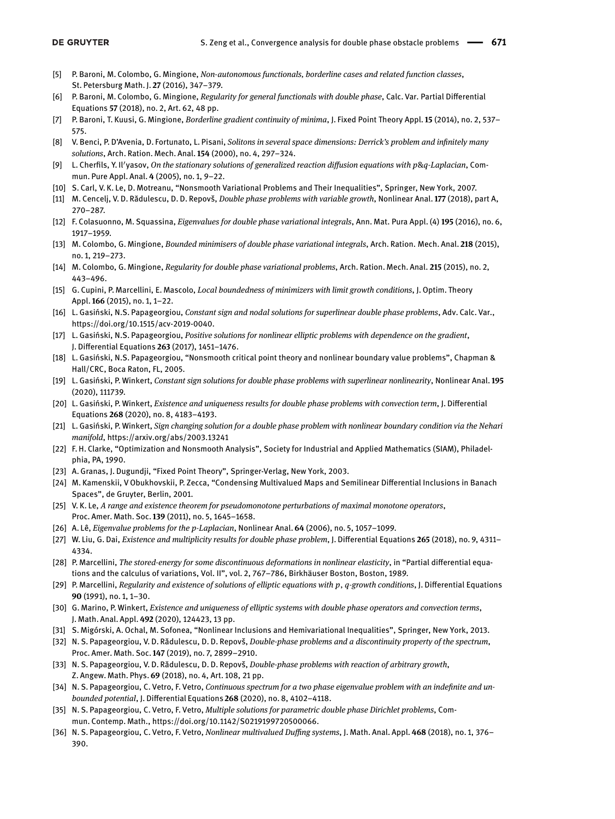- [5] P. Baroni, M. Colombo, G. Mingione, *Non-autonomous functionals, borderline cases and related function classes*, St. Petersburg Math. J. **27** (2016), 347–379.
- <span id="page-12-1"></span>[6] P. Baroni, M. Colombo, G. Mingione, *Regularity for general functionals with double phase*, Calc. Var. Partial Differential Equations **57** (2018), no. 2, Art. 62, 48 pp.
- <span id="page-12-2"></span>[7] P. Baroni, T. Kuusi, G. Mingione, *Borderline gradient continuity of minima*, J. Fixed Point Theory Appl. **15** (2014), no. 2, 537– 575.
- <span id="page-12-8"></span>[8] V. Benci, P. D'Avenia, D. Fortunato, L. Pisani, *Solitons in several space dimensions: Derrick's problem and innitely many solutions*, Arch. Ration. Mech. Anal. **154** (2000), no. 4, 297–324.
- <span id="page-12-9"></span>[9] L. Cherfils, Y. Il'yasov, *On the stationary solutions of generalized reaction diffusion equations with p&q-Laplacian*, Commun. Pure Appl. Anal. **4** (2005), no. 1, 9–22.
- <span id="page-12-18"></span>[10] S. Carl, V. K. Le, D. Motreanu, "Nonsmooth Variational Problems and Their Inequalities", Springer, New York, 2007.
- <span id="page-12-19"></span>[11] M. Cencelj, V. D. Rădulescu, D. D. Repovš, *Double phase problems with variable growth*, Nonlinear Anal. **177** (2018), part A, 270–287.
- <span id="page-12-10"></span>[12] F. Colasuonno, M. Squassina, *Eigenvalues for double phase variational integrals*, Ann. Mat. Pura Appl. (4) **195** (2016), no. 6, 1917–1959.
- <span id="page-12-4"></span>[13] M. Colombo, G. Mingione, *Bounded minimisers of double phase variational integrals*, Arch. Ration. Mech. Anal. **218** (2015), no. 1, 219–273.
- <span id="page-12-5"></span>[14] M. Colombo, G. Mingione, *Regularity for double phase variational problems*, Arch. Ration. Mech. Anal. **215** (2015), no. 2, 443–496.
- <span id="page-12-3"></span>[15] G. Cupini, P. Marcellini, E. Mascolo, *Local boundedness of minimizers with limit growth conditions*, J. Optim. Theory Appl. **166** (2015), no. 1, 1–22.
- <span id="page-12-11"></span>[16] L. Gasiński, N.S. Papageorgiou, *Constant sign and nodal solutions for superlinear double phase problems*, Adv. Calc. Var., https://doi.org/10.1515/acv-2019-0040.
- <span id="page-12-12"></span>[17] L. Gasiński, N.S. Papageorgiou, *Positive solutions for nonlinear elliptic problems with dependence on the gradient*, J. Differential Equations 263 (2017), 1451-1476.
- <span id="page-12-21"></span>[18] L. Gasiński, N.S. Papageorgiou, "Nonsmooth critical point theory and nonlinear boundary value problems", Chapman & Hall/CRC, Boca Raton, FL, 2005.
- <span id="page-12-13"></span>[19] L. Gasiński, P. Winkert, *Constant sign solutions for double phase problems with superlinear nonlinearity*, Nonlinear Anal. **195** (2020), 111739.
- [20] L. Gasiński, P. Winkert, *Existence and uniqueness results for double phase problems with convection term*, J. Differential Equations **268** (2020), no. 8, 4183–4193.
- <span id="page-12-14"></span>[21] L. Gasiński, P. Winkert, *Sign changing solution for a double phase problem with nonlinear boundary condition via the Nehari manifold*, https://arxiv.org/abs/2003.13241
- <span id="page-12-20"></span>[22] F. H. Clarke, "Optimization and Nonsmooth Analysis", Society for Industrial and Applied Mathematics (SIAM), Philadelphia, PA, 1990.
- <span id="page-12-27"></span>[23] A. Granas, J. Dugundji, "Fixed Point Theory", Springer-Verlag, New York, 2003.
- <span id="page-12-29"></span>[24] M. Kamenskii, V Obukhovskii, P. Zecca, "Condensing Multivalued Maps and Semilinear Differential Inclusions in Banach Spaces", de Gruyter, Berlin, 2001.
- <span id="page-12-0"></span>[25] V. K. Le, *A range and existence theorem for pseudomonotone perturbations of maximal monotone operators*, Proc. Amer. Math. Soc. **139** (2011), no. 5, 1645–1658.
- <span id="page-12-25"></span>[26] A. Lê, *Eigenvalue problems for the p-Laplacian*, Nonlinear Anal. **64** (2006), no. 5, 1057–1099.
- <span id="page-12-15"></span>[27] W. Liu, G. Dai, *Existence and multiplicity results for double phase problem, J. Differential Equations 265 (2018), no. 9, 4311–* 4334.
- <span id="page-12-6"></span>[28] P. Marcellini, *The stored-energy for some discontinuous deformations in nonlinear elasticity*, in "Partial differential equations and the calculus of variations, Vol. II", vol. 2, 767–786, Birkhäuser Boston, Boston, 1989.
- <span id="page-12-7"></span>[29] P. Marcellini, *Regularity and existence of solutions of elliptic equations with p, q-growth conditions, J. Differential Equations* **90** (1991), no. 1, 1–30.
- <span id="page-12-22"></span>[30] G. Marino, P. Winkert, *Existence and uniqueness of elliptic systems with double phase operators and convection terms*, J. Math. Anal. Appl. **492** (2020), 124423, 13 pp.
- <span id="page-12-28"></span>[31] S. Migórski, A. Ochal, M. Sofonea, "Nonlinear Inclusions and Hemivariational Inequalities", Springer, New York, 2013.
- <span id="page-12-23"></span>[32] N. S. Papageorgiou, V. D. Rădulescu, D. D. Repovš, *Double-phase problems and a discontinuity property of the spectrum*, Proc. Amer. Math. Soc. **147** (2019), no. 7, 2899–2910.
- <span id="page-12-24"></span>[33] N. S. Papageorgiou, V. D. Rădulescu, D. D. Repovš, *Double-phase problems with reaction of arbitrary growth*, Z. Angew. Math. Phys. **69** (2018), no. 4, Art. 108, 21 pp.
- <span id="page-12-16"></span>[34] N. S. Papageorgiou, C. Vetro, F. Vetro, *Continuous spectrum for a two phase eigenvalue problem with an indefinite and unbounded potential*, J. Differential Equations 268 (2020), no. 8, 4102-4118.
- <span id="page-12-17"></span>[35] N. S. Papageorgiou, C. Vetro, F. Vetro, *Multiple solutions for parametric double phase Dirichlet problems*, Commun. Contemp. Math., https://doi.org/10.1142/S0219199720500066.
- <span id="page-12-26"></span>[36] N. S. Papageorgiou, C. Vetro, F. Vetro, *Nonlinear multivalued Duffing systems*, J. Math. Anal. Appl. 468 (2018), no. 1, 376-390.